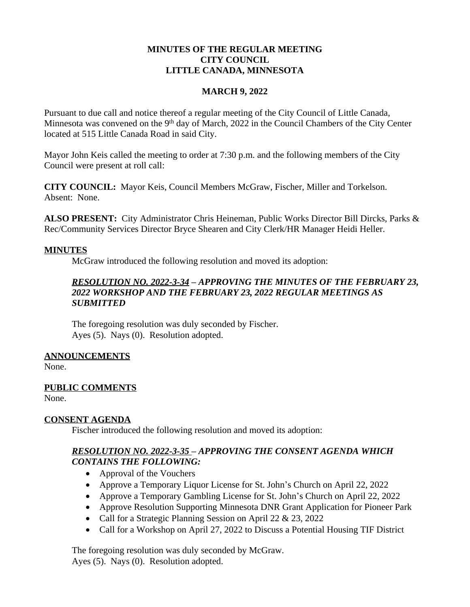### **MINUTES OF THE REGULAR MEETING CITY COUNCIL LITTLE CANADA, MINNESOTA**

#### **MARCH 9, 2022**

Pursuant to due call and notice thereof a regular meeting of the City Council of Little Canada, Minnesota was convened on the 9<sup>th</sup> day of March, 2022 in the Council Chambers of the City Center located at 515 Little Canada Road in said City.

Mayor John Keis called the meeting to order at 7:30 p.m. and the following members of the City Council were present at roll call:

**CITY COUNCIL:** Mayor Keis, Council Members McGraw, Fischer, Miller and Torkelson. Absent: None.

**ALSO PRESENT:** City Administrator Chris Heineman, Public Works Director Bill Dircks, Parks & Rec/Community Services Director Bryce Shearen and City Clerk/HR Manager Heidi Heller.

#### **MINUTES**

McGraw introduced the following resolution and moved its adoption:

## *RESOLUTION NO. 2022-3-34 – APPROVING THE MINUTES OF THE FEBRUARY 23, 2022 WORKSHOP AND THE FEBRUARY 23, 2022 REGULAR MEETINGS AS SUBMITTED*

The foregoing resolution was duly seconded by Fischer. Ayes (5). Nays (0). Resolution adopted.

## **ANNOUNCEMENTS**

None.

## **PUBLIC COMMENTS**

None.

## **CONSENT AGENDA**

Fischer introduced the following resolution and moved its adoption:

# *RESOLUTION NO. 2022-3-35 – APPROVING THE CONSENT AGENDA WHICH CONTAINS THE FOLLOWING:*

- Approval of the Vouchers
- Approve a Temporary Liquor License for St. John's Church on April 22, 2022
- Approve a Temporary Gambling License for St. John's Church on April 22, 2022
- Approve Resolution Supporting Minnesota DNR Grant Application for Pioneer Park
- Call for a Strategic Planning Session on April 22 & 23, 2022
- Call for a Workshop on April 27, 2022 to Discuss a Potential Housing TIF District

The foregoing resolution was duly seconded by McGraw. Ayes (5). Nays (0). Resolution adopted.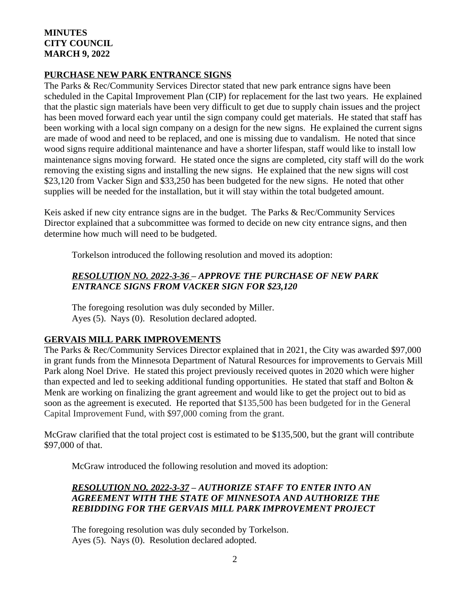## **MINUTES CITY COUNCIL MARCH 9, 2022**

### **PURCHASE NEW PARK ENTRANCE SIGNS**

The Parks & Rec/Community Services Director stated that new park entrance signs have been scheduled in the Capital Improvement Plan (CIP) for replacement for the last two years. He explained that the plastic sign materials have been very difficult to get due to supply chain issues and the project has been moved forward each year until the sign company could get materials. He stated that staff has been working with a local sign company on a design for the new signs. He explained the current signs are made of wood and need to be replaced, and one is missing due to vandalism. He noted that since wood signs require additional maintenance and have a shorter lifespan, staff would like to install low maintenance signs moving forward. He stated once the signs are completed, city staff will do the work removing the existing signs and installing the new signs. He explained that the new signs will cost \$23,120 from Vacker Sign and \$33,250 has been budgeted for the new signs. He noted that other supplies will be needed for the installation, but it will stay within the total budgeted amount.

Keis asked if new city entrance signs are in the budget. The Parks & Rec/Community Services Director explained that a subcommittee was formed to decide on new city entrance signs, and then determine how much will need to be budgeted.

Torkelson introduced the following resolution and moved its adoption:

# *RESOLUTION NO. 2022-3-36 – APPROVE THE PURCHASE OF NEW PARK ENTRANCE SIGNS FROM VACKER SIGN FOR \$23,120*

The foregoing resolution was duly seconded by Miller. Ayes (5). Nays (0). Resolution declared adopted.

## **GERVAIS MILL PARK IMPROVEMENTS**

The Parks & Rec/Community Services Director explained that in 2021, the City was awarded \$97,000 in grant funds from the Minnesota Department of Natural Resources for improvements to Gervais Mill Park along Noel Drive. He stated this project previously received quotes in 2020 which were higher than expected and led to seeking additional funding opportunities. He stated that staff and Bolton & Menk are working on finalizing the grant agreement and would like to get the project out to bid as soon as the agreement is executed. He reported that \$135,500 has been budgeted for in the General Capital Improvement Fund, with \$97,000 coming from the grant.

McGraw clarified that the total project cost is estimated to be \$135,500, but the grant will contribute \$97,000 of that.

McGraw introduced the following resolution and moved its adoption:

# *RESOLUTION NO. 2022-3-37 – AUTHORIZE STAFF TO ENTER INTO AN AGREEMENT WITH THE STATE OF MINNESOTA AND AUTHORIZE THE REBIDDING FOR THE GERVAIS MILL PARK IMPROVEMENT PROJECT*

The foregoing resolution was duly seconded by Torkelson. Ayes (5). Nays (0). Resolution declared adopted.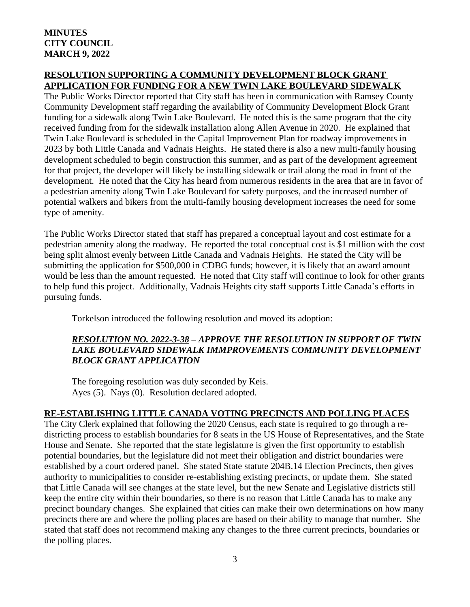### **RESOLUTION SUPPORTING A COMMUNITY DEVELOPMENT BLOCK GRANT APPLICATION FOR FUNDING FOR A NEW TWIN LAKE BOULEVARD SIDEWALK**

The Public Works Director reported that City staff has been in communication with Ramsey County Community Development staff regarding the availability of Community Development Block Grant funding for a sidewalk along Twin Lake Boulevard. He noted this is the same program that the city received funding from for the sidewalk installation along Allen Avenue in 2020. He explained that Twin Lake Boulevard is scheduled in the Capital Improvement Plan for roadway improvements in 2023 by both Little Canada and Vadnais Heights. He stated there is also a new multi-family housing development scheduled to begin construction this summer, and as part of the development agreement for that project, the developer will likely be installing sidewalk or trail along the road in front of the development. He noted that the City has heard from numerous residents in the area that are in favor of a pedestrian amenity along Twin Lake Boulevard for safety purposes, and the increased number of potential walkers and bikers from the multi-family housing development increases the need for some type of amenity.

The Public Works Director stated that staff has prepared a conceptual layout and cost estimate for a pedestrian amenity along the roadway. He reported the total conceptual cost is \$1 million with the cost being split almost evenly between Little Canada and Vadnais Heights. He stated the City will be submitting the application for \$500,000 in CDBG funds; however, it is likely that an award amount would be less than the amount requested. He noted that City staff will continue to look for other grants to help fund this project. Additionally, Vadnais Heights city staff supports Little Canada's efforts in pursuing funds.

Torkelson introduced the following resolution and moved its adoption:

# *RESOLUTION NO. 2022-3-38 – APPROVE THE RESOLUTION IN SUPPORT OF TWIN LAKE BOULEVARD SIDEWALK IMMPROVEMENTS COMMUNITY DEVELOPMENT BLOCK GRANT APPLICATION*

The foregoing resolution was duly seconded by Keis. Ayes (5). Nays (0). Resolution declared adopted.

## **RE-ESTABLISHING LITTLE CANADA VOTING PRECINCTS AND POLLING PLACES**

The City Clerk explained that following the 2020 Census, each state is required to go through a redistricting process to establish boundaries for 8 seats in the US House of Representatives, and the State House and Senate. She reported that the state legislature is given the first opportunity to establish potential boundaries, but the legislature did not meet their obligation and district boundaries were established by a court ordered panel. She stated State statute 204B.14 Election Precincts*,* then gives authority to municipalities to consider re-establishing existing precincts, or update them. She stated that Little Canada will see changes at the state level, but the new Senate and Legislative districts still keep the entire city within their boundaries, so there is no reason that Little Canada has to make any precinct boundary changes. She explained that cities can make their own determinations on how many precincts there are and where the polling places are based on their ability to manage that number. She stated that staff does not recommend making any changes to the three current precincts, boundaries or the polling places.